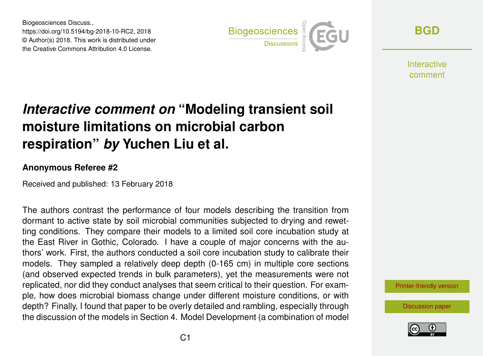Biogeosciences Discuss., https://doi.org/10.5194/bg-2018-10-RC2, 2018 © Author(s) 2018. This work is distributed under the Creative Commons Attribution 4.0 License.



**[BGD](https://www.biogeosciences-discuss.net/)**

Interactive comment

## *Interactive comment on* **"Modeling transient soil moisture limitations on microbial carbon respiration"** *by* **Yuchen Liu et al.**

## **Anonymous Referee #2**

Received and published: 13 February 2018

The authors contrast the performance of four models describing the transition from dormant to active state by soil microbial communities subjected to drying and rewetting conditions. They compare their models to a limited soil core incubation study at the East River in Gothic, Colorado. I have a couple of major concerns with the authors' work. First, the authors conducted a soil core incubation study to calibrate their models. They sampled a relatively deep depth (0-165 cm) in multiple core sections (and observed expected trends in bulk parameters), yet the measurements were not replicated, nor did they conduct analyses that seem critical to their question. For example, how does microbial biomass change under different moisture conditions, or with depth? Finally, I found that paper to be overly detailed and rambling, especially through the discussion of the models in Section 4. Model Development (a combination of model

[Printer-friendly version](https://www.biogeosciences-discuss.net/bg-2018-10/bg-2018-10-RC2-print.pdf)

[Discussion paper](https://www.biogeosciences-discuss.net/bg-2018-10)